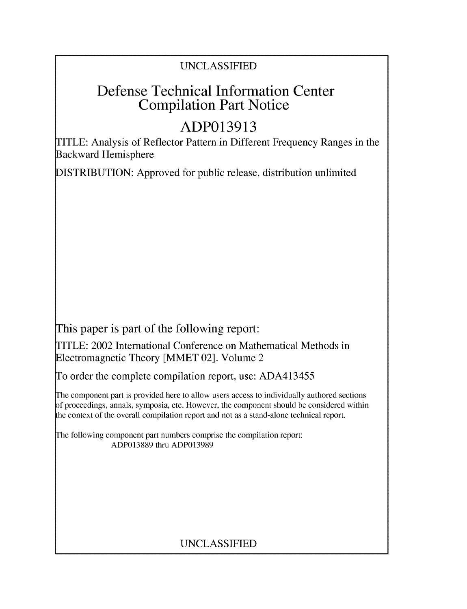## UNCLASSIFIED

## Defense Technical Information Center Compilation Part Notice

# **ADP013913**

TITLE: Analysis of Reflector Pattern in Different Frequency Ranges in the Backward Hemisphere

DISTRIBUTION: Approved for public release, distribution unlimited

This paper is part of the following report:

TITLE: 2002 International Conference on Mathematical Methods in Electromagnetic Theory [MMET 02]. Volume 2

To order the complete compilation report, use: ADA413455

The component part is provided here to allow users access to individually authored sections f proceedings, annals, symposia, etc. However, the component should be considered within the context of the overall compilation report and not as a stand-alone technical report.

The following component part numbers comprise the compilation report: ADP013889 thru ADP013989

## UNCLASSIFIED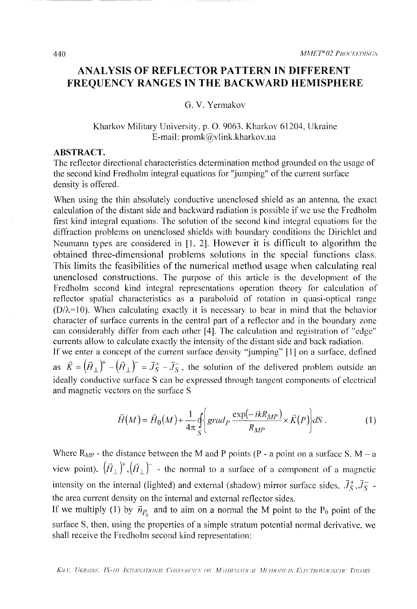## **ANALYSIS** OF REFLECTOR PATTERN **IN** DIFFERENT **FREQUENCY RANGES IN** THE BACKWARD HEMISPHERE

### G. V. Yermakov

#### Kharkov Military University, p. **0.** 9063. Kharkov 61204, Ukraine E-mail: promk@vlink.kharkov.ua

#### ABSTRACT.

The reflector directional characteristics determination method grounded on the usage of the second kind Fredholm integral equations for "jumping" of the current surface density is offered.

When using the thin absolutely conductive unenclosed shield as an antenna, the exact calculation of the distant side and backward radiation is possible if we use the Fredholm first kind integral equations. The solution of the second kind integral equations for the diffraction problems on unenclosed shields with boundary conditions the Dirichlet and Neumann types are considered in **[1,** 2]. However it is difficult to algorithm the obtained three-dimensional problems solutions in the special functions class. This limits the feasibilities of the numerical method usage when calculating real unenclosed constructions. The purpose of this article is the development of the Fredholm second kind integral representations operation theory for calculation of reflector spatial characteristics as a paraboloid of rotation in quasi-optical range  $(D/\lambda=10)$ . When calculating exactly it is necessary to bear in mind that the behavior character of surface currents in the central part of a reflector and in the boundary zone can considerably differ from each other [4]. The calculation and registration of "edge" currents allow to calculate exactly the intensity of the distant side and back radiation. If we enter a concept of the current surface density "jumping" [1] on a surface, defined as  $\vec{K} = (\vec{H}_{\perp})^+ - (\vec{H}_{\perp})^- = \vec{J}_{S}^+ - \vec{J}_{S}^-$ , the solution of the delivered problem outside an

ideally conductive surface S can be expressed through tangent components of electrical and magnetic vectors on the surface S

$$
\vec{H}(M) = \vec{H}_0(M) + \frac{1}{4\pi} \oint_S \left\{ \operatorname{grad}_P \frac{\exp(-ikR_{MP})}{R_{MP}} \times \vec{K}(P) \right\} dS \,. \tag{1}
$$

Where  $R_{MP}$  - the distance between the M and P points (P - a point on a surface S, M - a view point),  $(\vec{H}_{\perp})^+$ ,  $(\vec{H}_{\perp})^-$  - the normal to a surface of a component of a magnetic intensity on the internal (lighted) and external (shadow) mirror surface sides,  $\vec{J}_{S}^{+}$ ,  $\vec{J}_{S}^{-}$  the area current density on the internal and external reflector sides.

If we multiply (1) by  $\vec{n}_{P_0}$  and to aim on a normal the M point to the P<sub>0</sub> point of the surface S, then, using the properties of a simple stratum potential normal derivative, we shall receive the Fredholm second kind representation: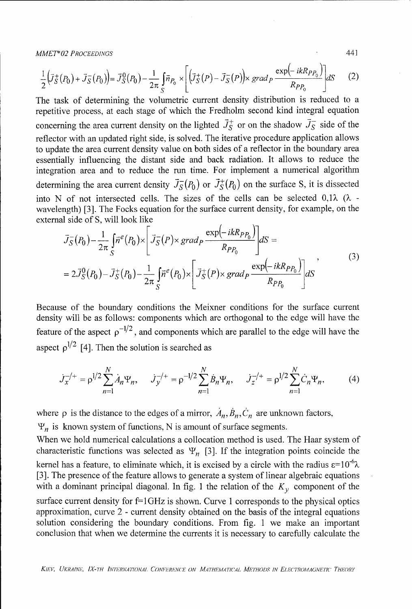*MMET\* 02 PROCEEDINGS* 441

$$
\frac{1}{2}\left(\bar{J}_S^+(P_0) + \bar{J}_S^-(P_0)\right) = \bar{J}_S^0(P_0) - \frac{1}{2\pi} \int_S \bar{n}_{P_0} \times \left[ \left(\bar{J}_S^+(P) - \bar{J}_S^-(P)\right) \times \operatorname{grad}_P \frac{\exp(-ikR_{PP_0})}{R_{PP_0}} \right] dS \tag{2}
$$

The task of determining the volumetric current density distribution is reduced to a repetitive process, at each stage of which the Fredhoim second kind integral equation concerning the area current density on the lighted  $\vec{J}_{S}^{+}$  or on the shadow  $\vec{J}_{S}^{-}$  side of the reflector with an updated right side, is solved. The iterative procedure application allows to update the area current density value on both sides of a reflector in the boundary area essentially influencing the distant side and back radiation. It allows to reduce the integration area and to reduce the run time. For implement a numerical algorithm determining the area current density  $\vec{J}_S(P_0)$  or  $\vec{J}_S^+(P_0)$  on the surface S, it is dissected into N of not intersected cells. The sizes of the cells can be selected  $0,1\lambda$  ( $\lambda$  wavelength) [3]. The Focks equation for the surface current density, for example, on the external side of S, will look like

$$
\vec{J}_{S}^{-}(P_{0}) - \frac{1}{2\pi} \int_{S} \vec{n}^{e}(P_{0}) \times \left[ \vec{J}_{S}^{-}(P) \times grad_{P} \frac{\exp(-ikR_{PP_{0}})}{R_{PP_{0}}} \right] dS =
$$
\n
$$
= 2\vec{J}_{S}^{0}(P_{0}) - \vec{J}_{S}^{+}(P_{0}) - \frac{1}{2\pi} \int_{S} \vec{n}^{e}(P_{0}) \times \left[ \vec{J}_{S}^{+}(P) \times grad_{P} \frac{\exp(-ikR_{PP_{0}})}{R_{PP_{0}}} \right] dS
$$
\n(3)

Because of the boundary conditions the Meixner conditions for the surface current density will be as follows: components which are orthogonal to the edge will have the feature of the aspect  $p^{-1/2}$ , and components which are parallel to the edge will have the aspect  $\rho^{1/2}$  [4]. Then the solution is searched as

$$
\dot{J}_x^{-/+} = \rho^{1/2} \sum_{n=1}^N \dot{A}_n \Psi_n, \qquad \dot{J}_y^{-/+} = \rho^{-1/2} \sum_{n=1}^N \dot{B}_n \Psi_n, \qquad \dot{J}_z^{-/+} = \rho^{1/2} \sum_{n=1}^N \dot{C}_n \Psi_n,\tag{4}
$$

where  $\rho$  is the distance to the edges of a mirror,  $\dot{A}_n$ ,  $\dot{B}_n$ ,  $\dot{C}_n$  are unknown factors,

 $\Psi_n$  is known system of functions, N is amount of surface segments.

When we hold numerical calculations a collocation method is used. The Haar system of characteristic functions was selected as  $\Psi_n$  [3]. If the integration points coincide the kernel has a feature, to eliminate which, it is excised by a circle with the radius  $\varepsilon = 10^{-6}\lambda$ [3]. The presence of the feature allows to generate a system of linear algebraic equations with a dominant principal diagonal. In fig. 1 the relation of the  $K_v$  component of the surface current density for  $f=1$  GHz is shown. Curve 1 corresponds to the physical optics approximation, curve 2 - current density obtained on the basis of the integral equations solution considering the boundary conditions. From fig. 1 we make an important conclusion that when we determine the currents it is necessary to carefully calculate the